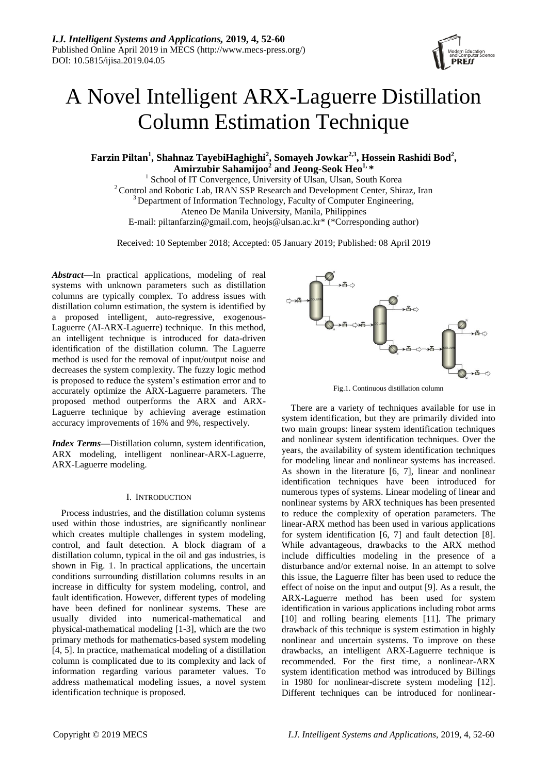

# A Novel Intelligent ARX-Laguerre Distillation Column Estimation Technique

**Farzin Piltan<sup>1</sup> , Shahnaz TayebiHaghighi<sup>2</sup> , Somayeh Jowkar2,3, Hossein Rashidi Bod<sup>2</sup> , Amirzubir Sahamijoo<sup>2</sup> and Jeong-Seok Heo1, \***

<sup>1</sup> School of IT Convergence, University of Ulsan, Ulsan, South Korea <sup>2</sup> Control and Robotic Lab, IRAN SSP Research and Development Center, Shiraz, Iran  $3$  Department of Information Technology, Faculty of Computer Engineering, Ateneo De Manila University, Manila, Philippines E-mail: piltanfarzin@gmail.com, heojs@ulsan.ac.kr\* (\*Corresponding author)

Received: 10 September 2018; Accepted: 05 January 2019; Published: 08 April 2019

*Abstract—*In practical applications, modeling of real systems with unknown parameters such as distillation columns are typically complex. To address issues with distillation column estimation, the system is identified by a proposed intelligent, auto-regressive, exogenous-Laguerre (AI-ARX-Laguerre) technique. In this method, an intelligent technique is introduced for data-driven identification of the distillation column. The Laguerre method is used for the removal of input/output noise and decreases the system complexity. The fuzzy logic method is proposed to reduce the system's estimation error and to accurately optimize the ARX-Laguerre parameters. The proposed method outperforms the ARX and ARX-Laguerre technique by achieving average estimation accuracy improvements of 16% and 9%, respectively.

*Index Terms***—**Distillation column, system identification, ARX modeling, intelligent nonlinear-ARX-Laguerre, ARX-Laguerre modeling.

# I. INTRODUCTION

Process industries, and the distillation column systems used within those industries, are significantly nonlinear which creates multiple challenges in system modeling, control, and fault detection. A block diagram of a distillation column, typical in the oil and gas industries, is shown in Fig. 1. In practical applications, the uncertain conditions surrounding distillation columns results in an increase in difficulty for system modeling, control, and fault identification. However, different types of modeling have been defined for nonlinear systems. These are usually divided into numerical-mathematical and physical-mathematical modeling [1-3], which are the two primary methods for mathematics-based system modeling [4, 5]. In practice, mathematical modeling of a distillation column is complicated due to its complexity and lack of information regarding various parameter values. To address mathematical modeling issues, a novel system identification technique is proposed.



Fig.1. Continuous distillation column

There are a variety of techniques available for use in system identification, but they are primarily divided into two main groups: linear system identification techniques and nonlinear system identification techniques. Over the years, the availability of system identification techniques for modeling linear and nonlinear systems has increased. As shown in the literature [6, 7], linear and nonlinear identification techniques have been introduced for numerous types of systems. Linear modeling of linear and nonlinear systems by ARX techniques has been presented to reduce the complexity of operation parameters. The linear-ARX method has been used in various applications for system identification [6, 7] and fault detection [8]. While advantageous, drawbacks to the ARX method include difficulties modeling in the presence of a disturbance and/or external noise. In an attempt to solve this issue, the Laguerre filter has been used to reduce the effect of noise on the input and output [9]. As a result, the ARX-Laguerre method has been used for system identification in various applications including robot arms [10] and rolling bearing elements [11]. The primary drawback of this technique is system estimation in highly nonlinear and uncertain systems. To improve on these drawbacks, an intelligent ARX-Laguerre technique is recommended. For the first time, a nonlinear-ARX system identification method was introduced by Billings in 1980 for nonlinear-discrete system modeling [12]. Different techniques can be introduced for nonlinear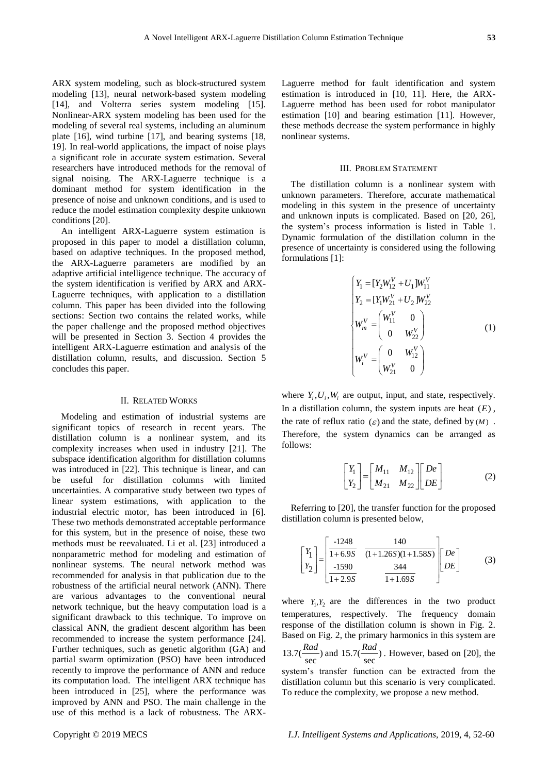ARX system modeling, such as block-structured system modeling [13], neural network-based system modeling [14], and Volterra series system modeling [15]. Nonlinear-ARX system modeling has been used for the modeling of several real systems, including an aluminum plate [16], wind turbine [17], and bearing systems [18, 19]. In real-world applications, the impact of noise plays a significant role in accurate system estimation. Several researchers have introduced methods for the removal of signal noising. The ARX-Laguerre technique is a dominant method for system identification in the presence of noise and unknown conditions, and is used to reduce the model estimation complexity despite unknown conditions [20].

An intelligent ARX-Laguerre system estimation is proposed in this paper to model a distillation column, based on adaptive techniques. In the proposed method, the ARX-Laguerre parameters are modified by an adaptive artificial intelligence technique. The accuracy of the system identification is verified by ARX and ARX-Laguerre techniques, with application to a distillation column. This paper has been divided into the following sections: Section two contains the related works, while the paper challenge and the proposed method objectives will be presented in Section 3. Section 4 provides the intelligent ARX-Laguerre estimation and analysis of the distillation column, results, and discussion. Section 5 concludes this paper.

### II. RELATED WORKS

Modeling and estimation of industrial systems are significant topics of research in recent years. The distillation column is a nonlinear system, and its complexity increases when used in industry [21]. The subspace identification algorithm for distillation columns was introduced in [22]. This technique is linear, and can be useful for distillation columns with limited uncertainties. A comparative study between two types of linear system estimations, with application to the industrial electric motor, has been introduced in [6]. These two methods demonstrated acceptable performance for this system, but in the presence of noise, these two methods must be reevaluated. Li et al. [23] introduced a nonparametric method for modeling and estimation of nonlinear systems. The neural network method was recommended for analysis in that publication due to the robustness of the artificial neural network (ANN). There are various advantages to the conventional neural network technique, but the heavy computation load is a significant drawback to this technique. To improve on classical ANN, the gradient descent algorithm has been recommended to increase the system performance [24]. Further techniques, such as genetic algorithm (GA) and partial swarm optimization (PSO) have been introduced recently to improve the performance of ANN and reduce its computation load. The intelligent ARX technique has been introduced in [25], where the performance was improved by ANN and PSO. The main challenge in the use of this method is a lack of robustness. The ARX-

Laguerre method for fault identification and system estimation is introduced in [10, 11]. Here, the ARX-Laguerre method has been used for robot manipulator estimation [10] and bearing estimation [11]. However, these methods decrease the system performance in highly nonlinear systems.

### III. PROBLEM STATEMENT

The distillation column is a nonlinear system with unknown parameters. Therefore, accurate mathematical modeling in this system in the presence of uncertainty and unknown inputs is complicated. Based on [20, 26], the system's process information is listed in Table 1. Dynamic formulation of the distillation column in the presence of uncertainty is considered using the following formulations [1]:

$$
\begin{cases}\nY_1 = [Y_2 W_{12}^V + U_1] W_{11}^V \\
Y_2 = [Y_1 W_{21}^V + U_2] W_{22}^V \\
W_m^V = \begin{pmatrix} W_{11}^V & 0 \\
0 & W_{22}^V \end{pmatrix} \\
W_i^V = \begin{pmatrix} 0 & W_{12}^V \\
W_{21}^V & 0 \end{pmatrix}\n\end{cases} (1)
$$

where  $Y_i, U_i, W_i$  are output, input, and state, respectively. In a distillation column, the system inputs are heat  $(E)$ , the rate of reflux ratio  $(\varepsilon)$  and the state, defined by  $(M)$ . Therefore, the system dynamics can be arranged as follows:

$$
\begin{bmatrix} Y_1 \\ Y_2 \end{bmatrix} = \begin{bmatrix} M_{11} & M_{12} \\ M_{21} & M_{22} \end{bmatrix} \begin{bmatrix} De \\ DE \end{bmatrix}
$$
 (2)

Referring to [20], the transfer function for the proposed distillation column is presented below,

$$
\begin{bmatrix} Y_1 \\ Y_2 \end{bmatrix} = \begin{bmatrix} \frac{-1248}{1+6.9S} & \frac{140}{(1+1.26S)(1+1.58S)} \\ \frac{-1590}{1+2.9S} & \frac{344}{1+1.69S} \end{bmatrix} \begin{bmatrix} De \\ DE \end{bmatrix}
$$
(3)

where  $Y_1, Y_2$  are the differences in the two product temperatures, respectively. The frequency domain response of the distillation column is shown in Fig. 2. Based on Fig. 2, the primary harmonics in this system are *Rad Rad*

13.7(
$$
\frac{R\ddot{a}\dot{a}}{\text{sec}}
$$
) and 15.7( $\frac{R\ddot{a}\dot{a}}{\text{sec}}$ ). However, based on [20], the

system's transfer function can be extracted from the distillation column but this scenario is very complicated. To reduce the complexity, we propose a new method.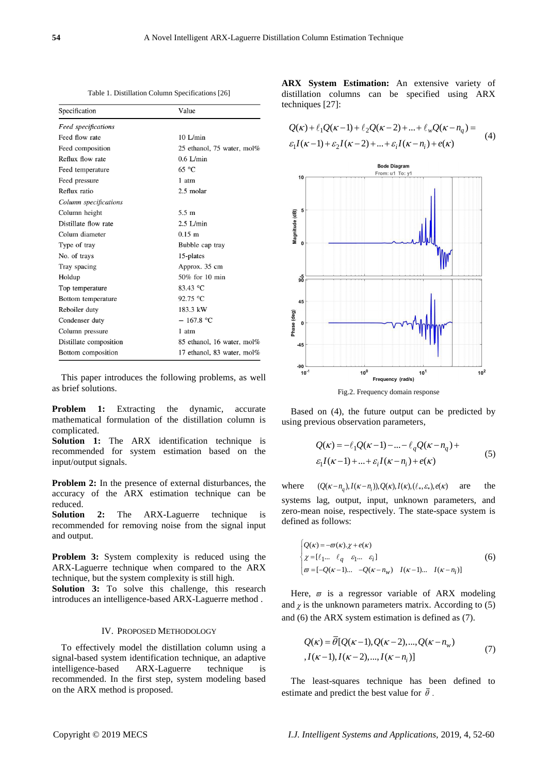Table 1. Distillation Column Specifications [26]

| Specification          | Value                      |
|------------------------|----------------------------|
| Feed specifications    |                            |
| Feed flow rate         | $10$ L/min                 |
| Feed composition       | 25 ethanol, 75 water, mol% |
| Reflux flow rate       | $0.6$ L/min                |
| Feed temperature       | $65^{\circ}$ C             |
| Feed pressure          | 1 atm                      |
| Reflux ratio           | $2.5$ molar                |
| Column specifications  |                            |
| Column height          | $5.5 \text{ m}$            |
| Distillate flow rate   | $2.5$ L/min                |
| Colum diameter         | $0.15 \; \text{m}$         |
| Type of tray           | Bubble cap tray            |
| No. of trays           | 15-plates                  |
| Tray spacing           | Approx. 35 cm              |
| Holdup                 | 50% for 10 min             |
| Top temperature        | 83.43 °C                   |
| Bottom temperature     | 92.75 °C                   |
| Reboiler duty          | 183.3 kW                   |
| Condenser duty         | $-167.8 °C$                |
| Column pressure        | 1 atm                      |
| Distillate composition | 85 ethanol, 16 water, mol% |
| Bottom composition     | 17 ethanol, 83 water, mol% |

This paper introduces the following problems, as well as brief solutions.

**Problem 1:** Extracting the dynamic, accurate mathematical formulation of the distillation column is complicated.

**Solution 1:** The ARX identification technique is recommended for system estimation based on the input/output signals.

**Problem 2:** In the presence of external disturbances, the accuracy of the ARX estimation technique can be reduced.

**Solution 2:** The ARX-Laguerre technique is recommended for removing noise from the signal input and output.

**Problem 3:** System complexity is reduced using the ARX-Laguerre technique when compared to the ARX technique, but the system complexity is still high.

**Solution 3:** To solve this challenge, this research introduces an intelligence-based ARX-Laguerre method .

# IV. PROPOSED METHODOLOGY

To effectively model the distillation column using a signal-based system identification technique, an adaptive intelligence-based ARX-Laguerre technique is recommended. In the first step, system modeling based on the ARX method is proposed.

**ARX System Estimation:** An extensive variety of distillation columns can be specified using ARX techniques [27]:

 $Q(\kappa) + \ell_1 Q(\kappa - 1) + \ell_2 Q(\kappa - 2) + ... + \ell_w Q(\kappa - n_q) =$  $Q(\kappa) + \ell_1 Q(\kappa - 1) + \ell_2 Q(\kappa - 2) + ... + \ell_w Q(\kappa - n_q)$ <br>  $\varepsilon_1 I(\kappa - 1) + \varepsilon_2 I(\kappa - 2) + ... + \varepsilon_i I(\kappa - n_i) + e(\kappa)$ (4)



Based on (4), the future output can be predicted by using previous observation parameters,

$$
Q(\kappa) = -\ell_1 Q(\kappa - 1) - \dots - \ell_q Q(\kappa - n_q) +
$$
  
\n
$$
\varepsilon_1 I(\kappa - 1) + \dots + \varepsilon_i I(\kappa - n_i) + e(\kappa)
$$
 (5)

where  $(Q(\kappa - n_a), I(\kappa - n_i)), Q(\kappa), I(\kappa), (\ell_*, \varepsilon_*), e(\kappa)$  are the systems lag, output, input, unknown parameters, and zero-mean noise, respectively. The state-space system is defined as follows:

$$
\begin{cases}\nQ(\kappa) = -\varpi(\kappa) \cdot \chi + e(\kappa) \\
\chi = [\ell_1 \dots \ell_q \epsilon_1 \dots \epsilon_i] \\
\varpi = [-Q(\kappa - 1) \dots -Q(\kappa - n_w) \quad I(\kappa - 1) \dots \quad I(\kappa - n_i)]\n\end{cases} (6)
$$

Here,  $\varpi$  is a regressor variable of ARX modeling and  $\chi$  is the unknown parameters matrix. According to (5) and (6) the ARX system estimation is defined as (7).

$$
Q(\kappa) = \overline{\theta}[Q(\kappa - 1), Q(\kappa - 2), ..., Q(\kappa - n_w)]
$$
  
,  $I(\kappa - 1), I(\kappa - 2), ..., I(\kappa - n_i)]$  (7)

The least-squares technique has been defined to estimate and predict the best value for  $\bar{\theta}$ .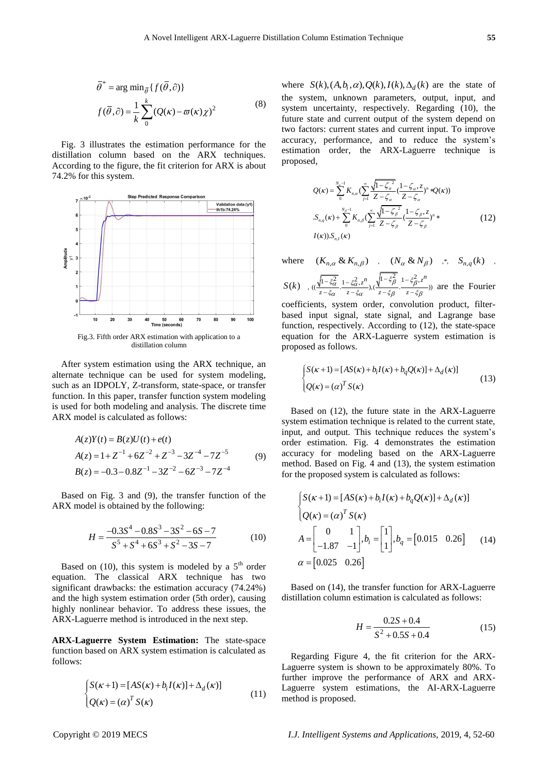$$
\overline{\theta}^* = \arg \min_{\overline{\theta}} \{ f(\overline{\theta}, \partial) \}
$$

$$
f(\overline{\theta}, \partial) = \frac{1}{k} \sum_{0}^{k} (Q(\kappa) - \varpi(\kappa)\chi)^2
$$
(8)

Fig. 3 illustrates the estimation performance for the distillation column based on the ARX techniques. According to the figure, the fit criterion for ARX is about 74.2% for this system.



Fig.3. Fifth order ARX estimation with application to a distillation column

After system estimation using the ARX technique, an alternate technique can be used for system modeling, such as an IDPOLY, Z-transform, state-space, or transfer function. In this paper, transfer function system modeling is used for both modeling and analysis. The discrete time ARX model is calculated as follows:

$$
A(z)Y(t) = B(z)U(t) + e(t)
$$
  
\n
$$
A(z) = 1 + Z^{-1} + 6Z^{-2} + Z^{-3} - 3Z^{-4} - 7Z^{-5}
$$
  
\n
$$
B(z) = -0.3 - 0.8Z^{-1} - 3Z^{-2} - 6Z^{-3} - 7Z^{-4}
$$
\n(9)

Based on Fig. 3 and (9), the transfer function of the ARX model is obtained by the following:

$$
H = \frac{-0.3S^4 - 0.8S^3 - 3S^2 - 6S - 7}{S^5 + S^4 + 6S^3 + S^2 - 3S - 7}
$$
(10)

Based on (10), this system is modeled by a  $5<sup>th</sup>$  order equation. The classical ARX technique has two significant drawbacks: the estimation accuracy (74.24%) and the high system estimation order (5th order), causing highly nonlinear behavior. To address these issues, the ARX-Laguerre method is introduced in the next step.

**ARX-Laguerre System Estimation:** The state-space function based on ARX system estimation is calculated as follows:

$$
\begin{cases}\nS(\kappa+1) = [AS(\kappa) + b_i I(\kappa)] + \Delta_d(\kappa)] \\
Q(\kappa) = (\alpha)^T S(\kappa)\n\end{cases}
$$
\n(11)

where  $S(k)$ ,  $(A,b_i, \alpha)$ ,  $Q(k)$ ,  $I(k)$ ,  $\Delta_d(k)$  are the state of the system, unknown parameters, output, input, and system uncertainty, respectively. Regarding (10), the future state and current output of the system depend on two factors: current states and current input. To improve accuracy, performance, and to reduce the system's estimation order, the ARX-Laguerre technique is proposed,

$$
Q(\kappa) = \sum_{0}^{N_{B}-1} K_{n,\alpha} (\sum_{j=1}^{\infty} \frac{\sqrt{1-\zeta_{\alpha}^{2}}}{Z-\zeta_{\alpha}} (\frac{1-\zeta_{\alpha},z}{Z-\zeta_{\alpha}})^{n} *Q(\kappa))
$$
  

$$
S_{n,q}(\kappa) + \sum_{0}^{N_{B}-1} K_{n,\beta} (\sum_{j=1}^{\infty} \frac{\sqrt{1-\zeta_{\beta}^{2}}}{Z-\zeta_{\beta}} (\frac{1-\zeta_{\beta},z}{Z-\zeta_{\beta}})^{n} * (12)
$$
  

$$
I(\kappa)).S_{n,l}(\kappa)
$$

where  $(K_{n,\alpha} \& K_{n,\beta})$  ,  $(N_{\alpha} \& N_{\beta})$  ,  $S_{n,q}(k)$  $S(k)$ ,  $((\frac{\sqrt{1-\xi_{\alpha}^2}}{z-\xi_{\alpha}}\cdot\frac{1-\xi_{\alpha}^2}{z-\xi_{\alpha}}), (\frac{\sqrt{1-\xi_{\beta}^2}}{z-\xi_{\beta}}\cdot\frac{1-\xi_{\beta}^2}{z-\xi_{\beta}}))$  $\frac{-\xi_{\alpha}^2}{-\xi_{\alpha}} \cdot \frac{1-\xi_{\alpha}^2 z^n}{z-\xi_{\alpha}}$ ,  $\frac{\sqrt{1-\xi_{\beta}^2}}{z-\xi_{\beta}} \cdot \frac{1-\xi_{\beta}^2 z^n}{z-\xi_{\beta}}$  are the Fourier

coefficients, system order, convolution product, filterbased input signal, state signal, and Lagrange base function, respectively. According to (12), the state-space equation for the ARX-Laguerre system estimation is proposed as follows.

$$
\begin{cases}\nS(\kappa+1) = [AS(\kappa) + b_i I(\kappa) + b_q Q(\kappa)] + \Delta_d(\kappa)] \\
Q(\kappa) = (\alpha)^T S(\kappa)\n\end{cases}
$$
\n(13)

Based on (12), the future state in the ARX-Laguerre system estimation technique is related to the current state, input, and output. This technique reduces the system's order estimation. Fig. 4 demonstrates the estimation accuracy for modeling based on the ARX-Laguerre method. Based on Fig. 4 and (13), the system estimation for the proposed system is calculated as follows:

$$
\begin{cases}\nS(\kappa+1) = [AS(\kappa) + b_i I(\kappa) + b_q Q(\kappa)] + \Delta_d(\kappa) \\
Q(\kappa) = (\alpha)^T S(\kappa) \\
A = \begin{bmatrix} 0 & 1 \\ -1.87 & -1 \end{bmatrix}, b_i = \begin{bmatrix} 1 \\ 1 \end{bmatrix}, b_q = [0.015 \quad 0.26] \quad (14) \\
\alpha = [0.025 \quad 0.26]\n\end{cases}
$$

Based on (14), the transfer function for ARX-Laguerre distillation column estimation is calculated as follows:

$$
H = \frac{0.2S + 0.4}{S^2 + 0.5S + 0.4}
$$
 (15)

Regarding Figure 4, the fit criterion for the ARX-Laguerre system is shown to be approximately 80%. To further improve the performance of ARX and ARX-Laguerre system estimations, the AI-ARX-Laguerre method is proposed.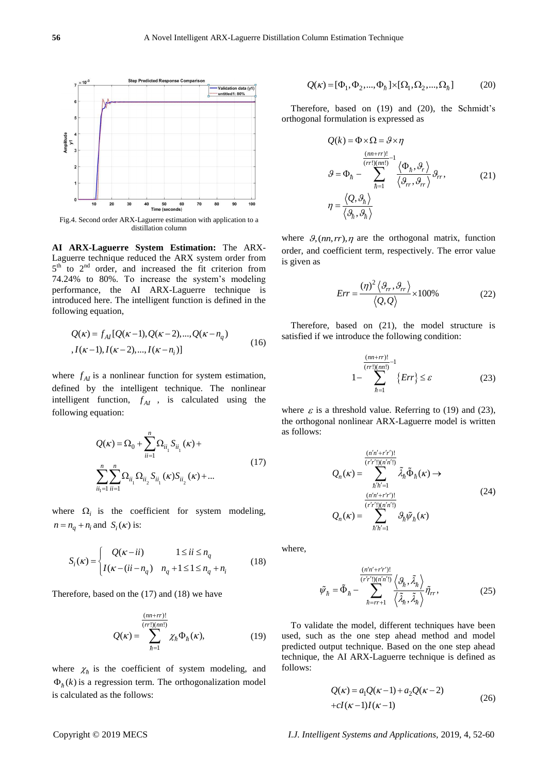

Fig.4. Second order ARX-Laguerre estimation with application to a distillation column

**AI ARX-Laguerre System Estimation:** The ARX-Laguerre technique reduced the ARX system order from  $5<sup>th</sup>$  to  $2<sup>nd</sup>$  order, and increased the fit criterion from 74.24% to 80%. To increase the system's modeling performance, the AI ARX-Laguerre technique is introduced here. The intelligent function is defined in the following equation,

$$
Q(\kappa) = f_{AI}[Q(\kappa-1), Q(\kappa-2), ..., Q(\kappa-n_q)
$$
  
,  $I(\kappa-1), I(\kappa-2), ..., I(\kappa-n_i)]$  (16)

where  $f_{AI}$  is a nonlinear function for system estimation, defined by the intelligent technique. The nonlinear intelligent function,  $f_{AI}$ , is calculated using the following equation:

$$
Q(\kappa) = \Omega_0 + \sum_{ii=1}^n \Omega_{ii} S_{ii}(\kappa) +
$$
  

$$
\sum_{ii_1=1}^n \sum_{ii=1}^n \Omega_{ii} \Omega_{ii} S_{ii}(\kappa) S_{ii}(\kappa) + ...
$$
 (17)

where  $\Omega_i$  is the coefficient for system modeling,  $n = n_q + n_i$  and  $S_i(\kappa)$  is:

$$
S_i(\kappa) = \begin{cases} Q(\kappa - ii) & 1 \le ii \le n_q \\ I(\kappa - (ii - n_q) & n_q + 1 \le 1 \le n_q + n_i \end{cases}
$$
(18)

Therefore, based on the (17) and (18) we have

$$
Q(\kappa) = \sum_{\hbar=1}^{\frac{(nn+rr)!}{(rr!)(nn!)}} \chi_{\hbar} \Phi_{\hbar}(\kappa), \tag{19}
$$

where  $\chi_{\hbar}$  is the coefficient of system modeling, and  $\Phi_h(k)$  is a regression term. The orthogonalization model is calculated as the follows:

$$
Q(\kappa) = [\Phi_1, \Phi_2, ..., \Phi_{\hbar}] \times [\Omega_1, \Omega_2, ..., \Omega_{\hbar}]
$$
 (20)

Therefore, based on (19) and (20), the Schmidt's orthogonal formulation is expressed as

$$
Q(k) = \Phi \times \Omega = \mathcal{G} \times \eta
$$
  

$$
\frac{(m+r r)!}{(r r!)(mn!)}^{-1} \left\langle \Phi_h, \mathcal{G}_r \right\rangle
$$
  

$$
\mathcal{G} = \Phi_h - \sum_{\hbar=1}^{(r r!)(mn!)} \frac{\left\langle \Phi_h, \mathcal{G}_r \right\rangle}{\left\langle \mathcal{G}_r, \mathcal{G}_{rr} \right\rangle} \mathcal{G}_{rr},
$$
  

$$
\eta = \frac{\left\langle Q, \mathcal{G}_h \right\rangle}{\left\langle \mathcal{G}_h, \mathcal{G}_h \right\rangle}
$$
 (21)

where  $\theta$ , (nn, rr),  $\eta$  are the orthogonal matrix, function order, and coefficient term, respectively. The error value is given as

$$
Err = \frac{(\eta)^2 \langle \vartheta_r, \vartheta_r \rangle}{\langle Q, Q \rangle} \times 100\%
$$
 (22)

Therefore, based on (21), the model structure is satisfied if we introduce the following condition:

$$
1 - \sum_{\hbar=1}^{\frac{(nn+rr)!}{(rr!(nn!)^{-1}}} {\{Err\}} \leq \varepsilon
$$
 (23)

where  $\varepsilon$  is a threshold value. Referring to (19) and (23), the orthogonal nonlinear ARX-Laguerre model is written as follows:

$$
Q_n(\kappa) = \sum_{\substack{(r'r')(n'n')\\h'h'=1}}^{\frac{(n'n'+r'r')!}{(r'r')(n'n')}} \tilde{\lambda}_\hbar \tilde{\Phi}_\hbar(\kappa) \rightarrow
$$
  

$$
Q_n(\kappa) = \sum_{\substack{(r/r')(n'n')\\h'h'=1}}^{\frac{(n'n'+r'r')!}{(r'r')(n'n')}} \vartheta_\hbar \tilde{\psi}_\hbar(\kappa)
$$
 (24)

where,

$$
\tilde{\psi}_{\hbar} = \tilde{\Phi}_{\hbar} - \sum_{\hbar = rr+1}^{\frac{(n'n' + r'r')!}{(r'r')(n'n')!}} \left\langle \mathcal{G}_{\hbar}, \tilde{\lambda}_{\hbar} \right\rangle_{\eta} \tilde{\eta}_{rr},
$$
\n(25)

To validate the model, different techniques have been used, such as the one step ahead method and model predicted output technique. Based on the one step ahead technique, the AI ARX-Laguerre technique is defined as follows:

$$
Q(\kappa) = a_1 Q(\kappa - 1) + a_2 Q(\kappa - 2)
$$
  
+ 
$$
cI(\kappa - 1)I(\kappa - 1)
$$
 (26)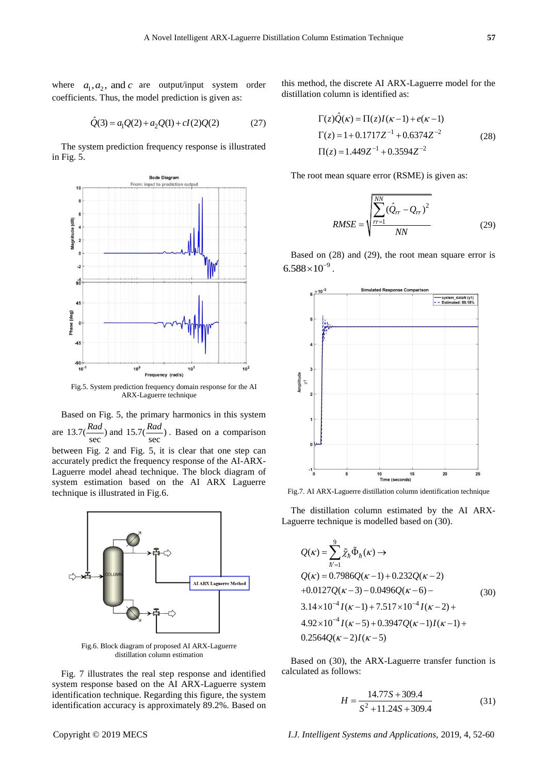where  $a_1, a_2$ , and c are output/input system order coefficients. Thus, the model prediction is given as:

$$
\hat{Q}(3) = a_1 Q(2) + a_2 Q(1) + cI(2)Q(2)
$$
\n(27)

The system prediction frequency response is illustrated in Fig. 5.



Fig.5. System prediction frequency domain response for the AI ARX-Laguerre technique

Based on Fig. 5, the primary harmonics in this system are  $13.7(\frac{\text{Area}}{\text{sec}})$  $\frac{Rad}{\sec}$ ) and 15.7( $\frac{Rad}{\sec}$ ) *Rad*<sub>)</sub>. Based on a comparison between Fig. 2 and Fig. 5, it is clear that one step can accurately predict the frequency response of the AI-ARX-Laguerre model ahead technique. The block diagram of system estimation based on the AI ARX Laguerre technique is illustrated in Fig.6.



Fig.6. Block diagram of proposed AI ARX-Laguerre distillation column estimation

Fig. 7 illustrates the real step response and identified system response based on the AI ARX-Laguerre system identification technique. Regarding this figure, the system identification accuracy is approximately 89.2%. Based on this method, the discrete AI ARX-Laguerre model for the distillation column is identified as:

$$
\Gamma(z)\hat{Q}(\kappa) = \Pi(z)I(\kappa - 1) + e(\kappa - 1)
$$
  
\n
$$
\Gamma(z) = 1 + 0.1717Z^{-1} + 0.6374Z^{-2}
$$
  
\n
$$
\Pi(z) = 1.449Z^{-1} + 0.3594Z^{-2}
$$
\n(28)

The root mean square error (RSME) is given as:

RMSE = 
$$
\sqrt{\frac{\sum_{rr=1}^{NN} (\hat{Q}_{rr} - Q_{rr})^2}{NN}}
$$
 (29)

Based on (28) and (29), the root mean square error is  $6.588\times10^{-9}$ .



Fig.7. AI ARX-Laguerre distillation column identification technique

The distillation column estimated by the AI ARX-Laguerre technique is modelled based on (30).

$$
Q(\kappa) = \sum_{\hbar'=1}^{9} \tilde{\chi}_{\hbar} \tilde{\Phi}_{\hbar}(\kappa) \rightarrow
$$
  
\n
$$
Q(\kappa) = 0.7986 Q(\kappa - 1) + 0.232 Q(\kappa - 2)
$$
  
\n
$$
+0.0127 Q(\kappa - 3) - 0.0496 Q(\kappa - 6) -
$$
  
\n
$$
3.14 \times 10^{-4} I(\kappa - 1) + 7.517 \times 10^{-4} I(\kappa - 2) +
$$
  
\n
$$
4.92 \times 10^{-4} I(\kappa - 5) + 0.3947 Q(\kappa - 1)I(\kappa - 1) +
$$
  
\n
$$
0.2564 Q(\kappa - 2)I(\kappa - 5)
$$
 (30)

Based on (30), the ARX-Laguerre transfer function is calculated as follows:

$$
H = \frac{14.77S + 309.4}{S^2 + 11.24S + 309.4}
$$
 (31)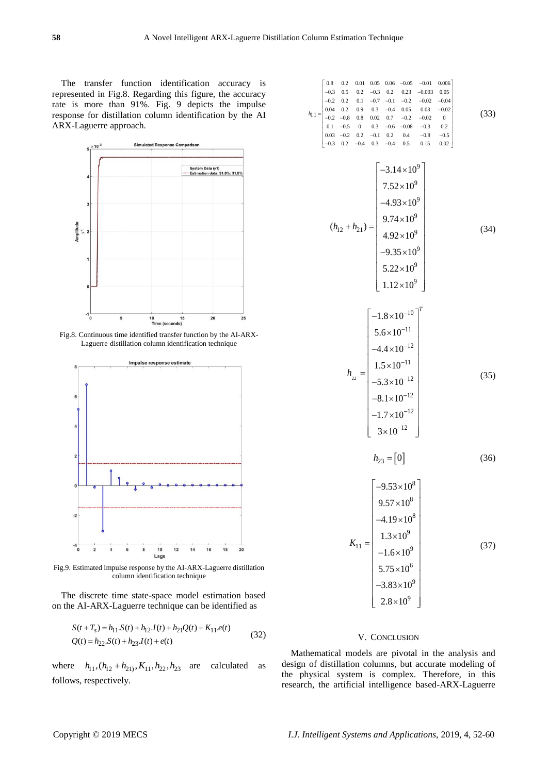The transfer function identification accuracy is represented in Fig.8. Regarding this figure, the accuracy rate is more than 91%. Fig. 9 depicts the impulse response for distillation column identification by the AI ARX-Laguerre approach.



Fig.8. Continuous time identified transfer function by the AI-ARX-Laguerre distillation column identification technique



Fig.9. Estimated impulse response by the AI-ARX-Laguerre distillation column identification technique

The discrete time state-space model estimation based on the AI-ARX-Laguerre technique can be identified as

$$
S(t+T_s) = h_{11}S(t) + h_{12}I(t) + h_{21}Q(t) + K_{11}e(t)
$$
  
 
$$
Q(t) = h_{22}S(t) + h_{23}I(t) + e(t)
$$
 (32)

where  $h_{11}$ ,  $(h_{12} + h_{21})$ ,  $K_{11}$ ,  $h_{22}$ ,  $h_{23}$  are calculated as follows, respectively.

$$
h_{11} =\n\begin{bmatrix}\n0.8 & 0.2 & 0.01 & 0.06 & -0.05 & -0.01 & 0.006 \\
-0.2 & 0.2 & 0.1 & -0.7 & -0.1 & -0.2 & -0.04 \\
0.04 & 0.2 & 0.9 & 0.3 & -0.4 & 0.05 & 0.03 & -0.02 \\
0.1 & -0.5 & 0 & 0.3 & -0.6 & -0.08 & -0.3 & 0.2 \\
0.03 & -0.2 & 0.2 & -0.1 & 0.2 & 0.4 & -0.8 & -0.5 \\
-0.3 & 0.2 & -0.4 & 0.3 & -0.4 & 0.5 & 0.15 & 0.02\n\end{bmatrix}
$$
\n
$$
(h_{12} + h_{21}) =\n\begin{bmatrix}\n-3.14 \times 10^9 \\
7.52 \times 10^9 \\
9.74 \times 10^9 \\
-9.35 \times 10^9\n\end{bmatrix}
$$
\n
$$
h_{22} =\n\begin{bmatrix}\n-1.8 \times 10^{-10} \\
5.6 \times 10^{-11} \\
-5.3 \times 10^{-12} \\
-1.7 \times 10^{-12} \\
-1.7 \times 10^{-12}\n\end{bmatrix}
$$
\n
$$
h_{23} = [0] \qquad (36)
$$
\n
$$
K_{11} =\n\begin{bmatrix}\n-9.53 \times 10^8 \\
9.57 \times 10^8 \\
-4.19 \times 10^8 \\
-1.6 \times 10^9\n\end{bmatrix}
$$
\n
$$
K_{11} =\n\begin{bmatrix}\n-9.53 \times 10^{8} \\
9.57 \times 10^{8} \\
1.3 \times 10^{9} \\
-1.6 \times 10^{9} \\
-1.6 \times 10^{9} \\
-3.83 \times 10^{9}\n\end{bmatrix}
$$
\n
$$
(37)
$$

# V. CONCLUSION

Mathematical models are pivotal in the analysis and design of distillation columns, but accurate modeling of the physical system is complex. Therefore, in this research, the artificial intelligence based-ARX-Laguerre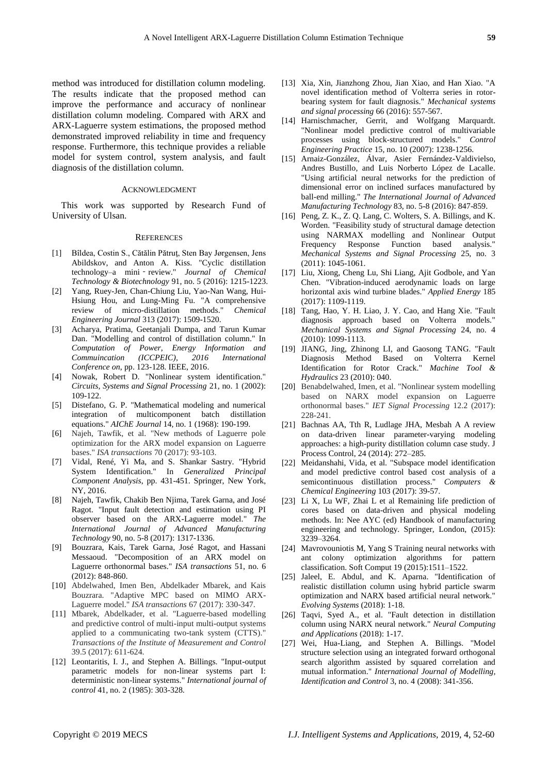method was introduced for distillation column modeling. The results indicate that the proposed method can improve the performance and accuracy of nonlinear distillation column modeling. Compared with ARX and ARX-Laguerre system estimations, the proposed method demonstrated improved reliability in time and frequency response. Furthermore, this technique provides a reliable model for system control, system analysis, and fault diagnosis of the distillation column.

### ACKNOWLEDGMENT

This work was supported by Research Fund of University of Ulsan.

### **REFERENCES**

- [1] Bîldea, Costin S., Cătălin Pătruţ, Sten Bay Jørgensen, Jens Abildskov, and Anton A. Kiss. "Cyclic distillation technology–a mini‐review." *Journal of Chemical Technology & Biotechnology* 91, no. 5 (2016): 1215-1223.
- [2] Yang, Ruey-Jen, Chan-Chiung Liu, Yao-Nan Wang, Hui-Hsiung Hou, and Lung-Ming Fu. "A comprehensive review of micro-distillation methods." *Chemical Engineering Journal* 313 (2017): 1509-1520.
- [3] Acharya, Pratima, Geetanjali Dumpa, and Tarun Kumar Dan. "Modelling and control of distillation column." In *Computation of Power, Energy Information and Commuincation (ICCPEIC), 2016 International Conference on*, pp. 123-128. IEEE, 2016.
- [4] Nowak, Robert D. "Nonlinear system identification." *Circuits, Systems and Signal Processing* 21, no. 1 (2002): 109-122.
- [5] Distefano, G. P. "Mathematical modeling and numerical integration of multicomponent batch distillation equations." *AIChE Journal* 14, no. 1 (1968): 190-199.
- [6] Najeh, Tawfik, et al. "New methods of Laguerre pole optimization for the ARX model expansion on Laguerre bases." *ISA transactions* 70 (2017): 93-103.
- [7] Vidal, René, Yi Ma, and S. Shankar Sastry. "Hybrid System Identification." In *Generalized Principal Component Analysis*, pp. 431-451. Springer, New York, NY, 2016.
- [8] Najeh, Tawfik, Chakib Ben Njima, Tarek Garna, and José Ragot. "Input fault detection and estimation using PI observer based on the ARX-Laguerre model." *The International Journal of Advanced Manufacturing Technology* 90, no. 5-8 (2017): 1317-1336.
- [9] Bouzrara, Kais, Tarek Garna, José Ragot, and Hassani Messaoud. "Decomposition of an ARX model on Laguerre orthonormal bases." *ISA transactions* 51, no. 6 (2012): 848-860.
- [10] Abdelwahed, Imen Ben, Abdelkader Mbarek, and Kais Bouzrara. "Adaptive MPC based on MIMO ARX-Laguerre model." *ISA transactions* 67 (2017): 330-347.
- [11] Mbarek, Abdelkader, et al. "Laguerre-based modelling and predictive control of multi-input multi-output systems applied to a communicating two-tank system (CTTS)." *Transactions of the Institute of Measurement and Control* 39.5 (2017): 611-624.
- [12] Leontaritis, I. J., and Stephen A. Billings. "Input-output parametric models for non-linear systems part I: deterministic non-linear systems." *International journal of control* 41, no. 2 (1985): 303-328.
- [13] Xia, Xin, Jianzhong Zhou, Jian Xiao, and Han Xiao. "A novel identification method of Volterra series in rotorbearing system for fault diagnosis." *Mechanical systems and signal processing* 66 (2016): 557-567.
- [14] Harnischmacher, Gerrit, and Wolfgang Marquardt. "Nonlinear model predictive control of multivariable processes using block-structured models." *Control Engineering Practice* 15, no. 10 (2007): 1238-1256.
- [15] Arnaiz-González, Álvar, Asier Fernández-Valdivielso, Andres Bustillo, and Luis Norberto López de Lacalle. "Using artificial neural networks for the prediction of dimensional error on inclined surfaces manufactured by ball-end milling." *The International Journal of Advanced Manufacturing Technology* 83, no. 5-8 (2016): 847-859.
- [16] Peng, Z. K., Z. Q. Lang, C. Wolters, S. A. Billings, and K. Worden. "Feasibility study of structural damage detection using NARMAX modelling and Nonlinear Output Frequency Response Function based analysis." *Mechanical Systems and Signal Processing* 25, no. 3 (2011): 1045-1061.
- [17] Liu, Xiong, Cheng Lu, Shi Liang, Ajit Godbole, and Yan Chen. "Vibration-induced aerodynamic loads on large horizontal axis wind turbine blades." *Applied Energy* 185 (2017): 1109-1119.
- [18] Tang, Hao, Y. H. Liao, J. Y. Cao, and Hang Xie. "Fault diagnosis approach based on Volterra models." *Mechanical Systems and Signal Processing* 24, no. 4 (2010): 1099-1113.
- [19] JIANG, Jing, Zhinong LI, and Gaosong TANG. "Fault Diagnosis Method Based on Volterra Kernel Identification for Rotor Crack." *Machine Tool & Hydraulics* 23 (2010): 040.
- [20] Benabdelwahed, Imen, et al. "Nonlinear system modelling based on NARX model expansion on Laguerre orthonormal bases." *IET Signal Processing* 12.2 (2017): 228-241.
- [21] Bachnas AA, Tth R, Ludlage JHA, Mesbah A A review on data-driven linear parameter-varying modeling approaches: a high-purity distillation column case study. J Process Control, 24 (2014): 272–285.
- [22] Meidanshahi, Vida, et al. "Subspace model identification and model predictive control based cost analysis of a semicontinuous distillation process." *Computers & Chemical Engineering* 103 (2017): 39-57.
- [23] Li X, Lu WF, Zhai L et al Remaining life prediction of cores based on data-driven and physical modeling methods. In: Nee AYC (ed) Handbook of manufacturing engineering and technology. Springer, London, (2015): 3239–3264.
- [24] Mavrovouniotis M, Yang S Training neural networks with ant colony optimization algorithms for pattern classification. Soft Comput 19 (2015):1511–1522.
- [25] Jaleel, E. Abdul, and K. Aparna. "Identification of realistic distillation column using hybrid particle swarm optimization and NARX based artificial neural network." *Evolving Systems* (2018): 1-18.
- [26] Taqvi, Syed A., et al. "Fault detection in distillation column using NARX neural network." *Neural Computing and Applications* (2018): 1-17.
- [27] Wei, Hua-Liang, and Stephen A. Billings. "Model structure selection using an integrated forward orthogonal search algorithm assisted by squared correlation and mutual information." *International Journal of Modelling, Identification and Control* 3, no. 4 (2008): 341-356.